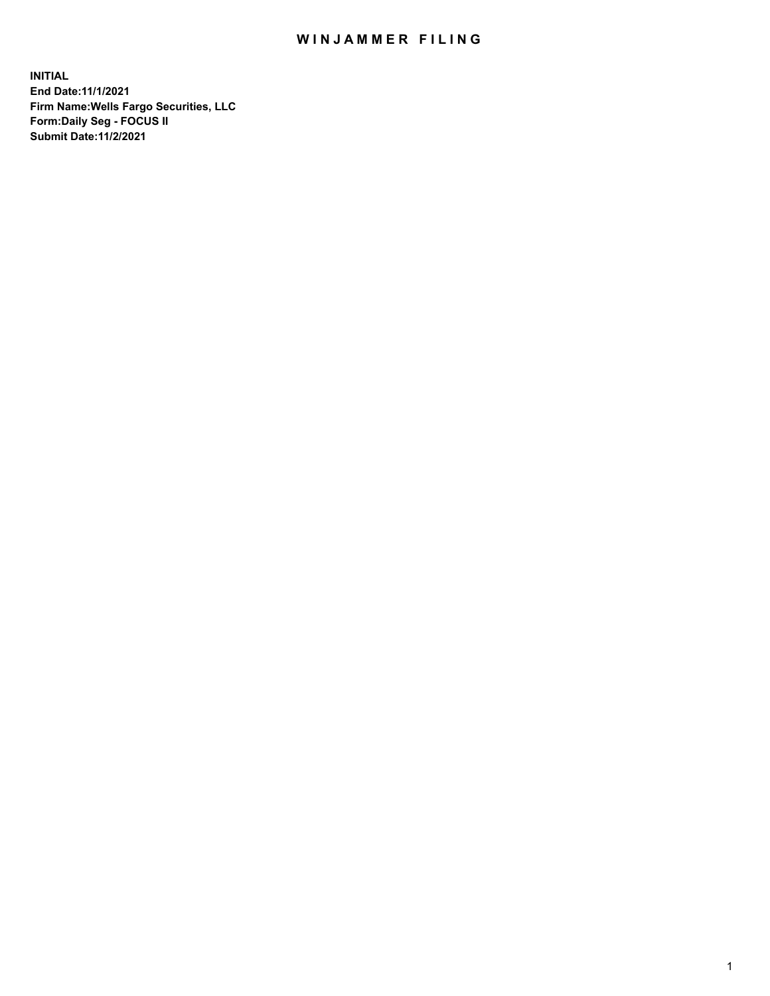# WIN JAMMER FILING

**INITIAL End Date:11/1/2021 Firm Name:Wells Fargo Securities, LLC Form:Daily Seg - FOCUS II Submit Date:11/2/2021**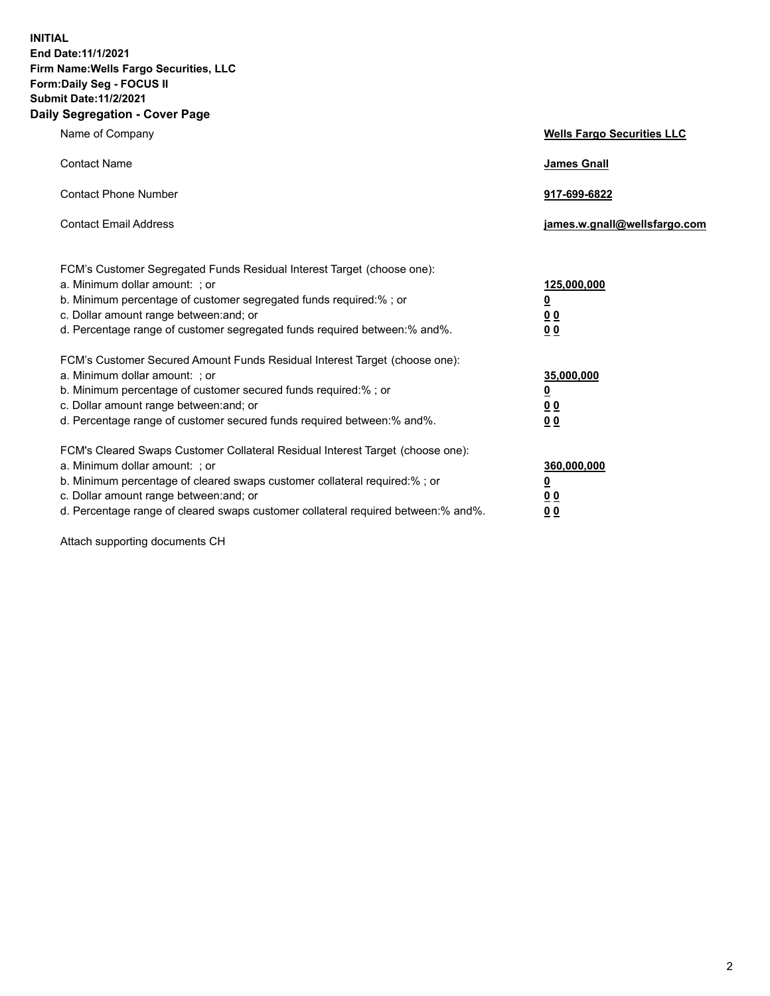**INITIAL End Date:11/1/2021 Firm Name:Wells Fargo Securities, LLC Form:Daily Seg - FOCUS II Submit Date:11/2/2021 Daily Segregation - Cover Page**

| Name of Company                                                                                                                                                                                                                                                                                                               | <b>Wells Fargo Securities LLC</b>                          |
|-------------------------------------------------------------------------------------------------------------------------------------------------------------------------------------------------------------------------------------------------------------------------------------------------------------------------------|------------------------------------------------------------|
| <b>Contact Name</b>                                                                                                                                                                                                                                                                                                           | <b>James Gnall</b>                                         |
| <b>Contact Phone Number</b>                                                                                                                                                                                                                                                                                                   | 917-699-6822                                               |
| <b>Contact Email Address</b>                                                                                                                                                                                                                                                                                                  | james.w.gnall@wellsfargo.com                               |
| FCM's Customer Segregated Funds Residual Interest Target (choose one):<br>a. Minimum dollar amount: ; or<br>b. Minimum percentage of customer segregated funds required:% ; or<br>c. Dollar amount range between: and; or<br>d. Percentage range of customer segregated funds required between:% and%.                        | 125,000,000<br><u>0</u><br>0 <sub>0</sub><br>00            |
| FCM's Customer Secured Amount Funds Residual Interest Target (choose one):<br>a. Minimum dollar amount: ; or<br>b. Minimum percentage of customer secured funds required:%; or<br>c. Dollar amount range between: and; or<br>d. Percentage range of customer secured funds required between:% and%.                           | 35,000,000<br><u>0</u><br>0 <sub>0</sub><br>0 <sub>0</sub> |
| FCM's Cleared Swaps Customer Collateral Residual Interest Target (choose one):<br>a. Minimum dollar amount: ; or<br>b. Minimum percentage of cleared swaps customer collateral required:%; or<br>c. Dollar amount range between: and; or<br>d. Percentage range of cleared swaps customer collateral required between:% and%. | 360,000,000<br><u>0</u><br>0 Q<br>00                       |

Attach supporting documents CH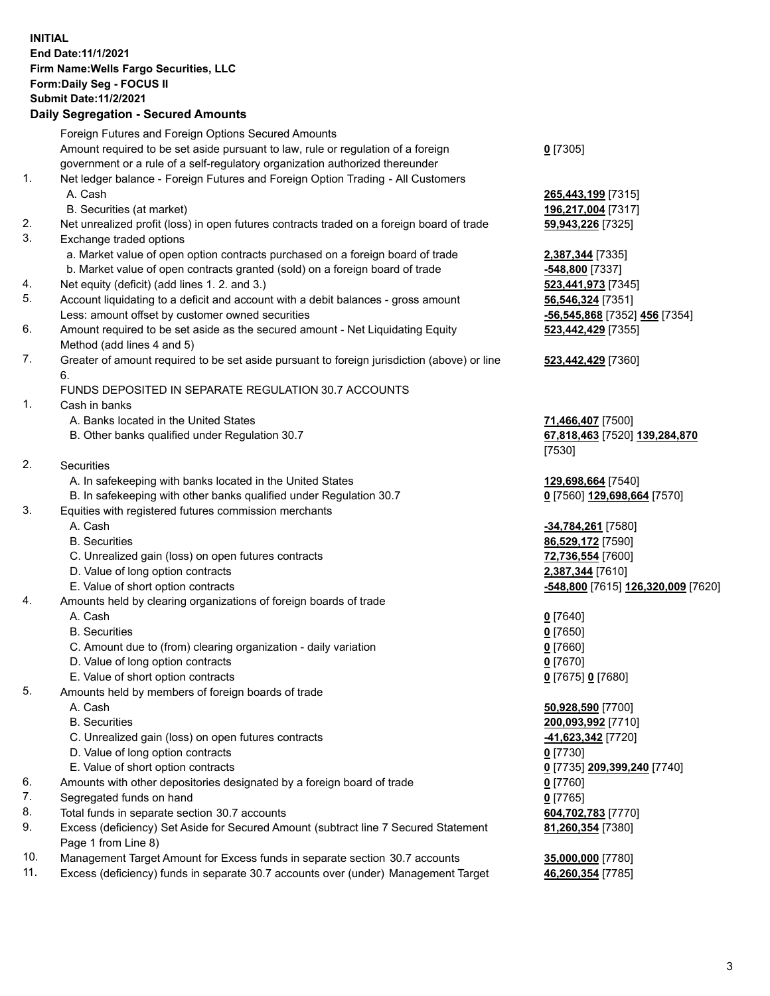**INITIAL End Date:11/1/2021 Firm Name:Wells Fargo Securities, LLC Form:Daily Seg - FOCUS II Submit Date:11/2/2021 Daily Segregation - Secured Amounts**

# Foreign Futures and Foreign Options Secured Amounts Amount required to be set aside pursuant to law, rule or regulation of a foreign government or a rule of a self-regulatory organization authorized thereunder 1. Net ledger balance - Foreign Futures and Foreign Option Trading - All Customers A. Cash **265,443,199** [7315] B. Securities (at market) **196,217,004** [7317] 2. Net unrealized profit (loss) in open futures contracts traded on a foreign board of trade **59,943,226** [7325] 3. Exchange traded options a. Market value of open option contracts purchased on a foreign board of trade **2,387,344** [7335] b. Market value of open contracts granted (sold) on a foreign board of trade **-548,800** [7337] 4. Net equity (deficit) (add lines 1. 2. and 3.) **523,441,973** [7345] 5. Account liquidating to a deficit and account with a debit balances - gross amount **56,546,324** [7351] Less: amount offset by customer owned securities **-56,545,868** [7352] **456** [7354] 6. Amount required to be set aside as the secured amount - Net Liquidating Equity Method (add lines 4 and 5) 7. Greater of amount required to be set aside pursuant to foreign jurisdiction (above) or line 6. FUNDS DEPOSITED IN SEPARATE REGULATION 30.7 ACCOUNTS 1. Cash in banks A. Banks located in the United States **71,466,407** [7500] B. Other banks qualified under Regulation 30.7 **67,818,463** [7520] **139,284,870** 2. Securities

- A. In safekeeping with banks located in the United States **129,698,664** [7540]
- B. In safekeeping with other banks qualified under Regulation 30.7 **0** [7560] **129,698,664** [7570]

### 3. Equities with registered futures commission merchants

- 
- 
- C. Unrealized gain (loss) on open futures contracts **72,736,554** [7600]
- D. Value of long option contracts **2,387,344** [7610]
- 
- 4. Amounts held by clearing organizations of foreign boards of trade

#### A. Cash **0** [7640]

- B. Securities **0** [7650]
- C. Amount due to (from) clearing organization daily variation **0** [7660]
- D. Value of long option contracts **0** [7670]
- E. Value of short option contracts **0** [7675] **0** [7680]
- 5. Amounts held by members of foreign boards of trade
	-
	-
	- C. Unrealized gain (loss) on open futures contracts **-41,623,342** [7720]
	- D. Value of long option contracts **0** [7730]
	- E. Value of short option contracts **0** [7735] **209,399,240** [7740]
- 6. Amounts with other depositories designated by a foreign board of trade **0** [7760]
- 7. Segregated funds on hand **0** [7765]
- 8. Total funds in separate section 30.7 accounts **604,702,783** [7770]
- 9. Excess (deficiency) Set Aside for Secured Amount (subtract line 7 Secured Statement Page 1 from Line 8)
- 10. Management Target Amount for Excess funds in separate section 30.7 accounts **35,000,000** [7780]
- 11. Excess (deficiency) funds in separate 30.7 accounts over (under) Management Target **46,260,354** [7785]

**0** [7305]

**523,442,429** [7355]

# **523,442,429** [7360]

[7530]

 A. Cash **-34,784,261** [7580] B. Securities **86,529,172** [7590] E. Value of short option contracts **-548,800** [7615] **126,320,009** [7620]

 A. Cash **50,928,590** [7700] B. Securities **200,093,992** [7710] **81,260,354** [7380]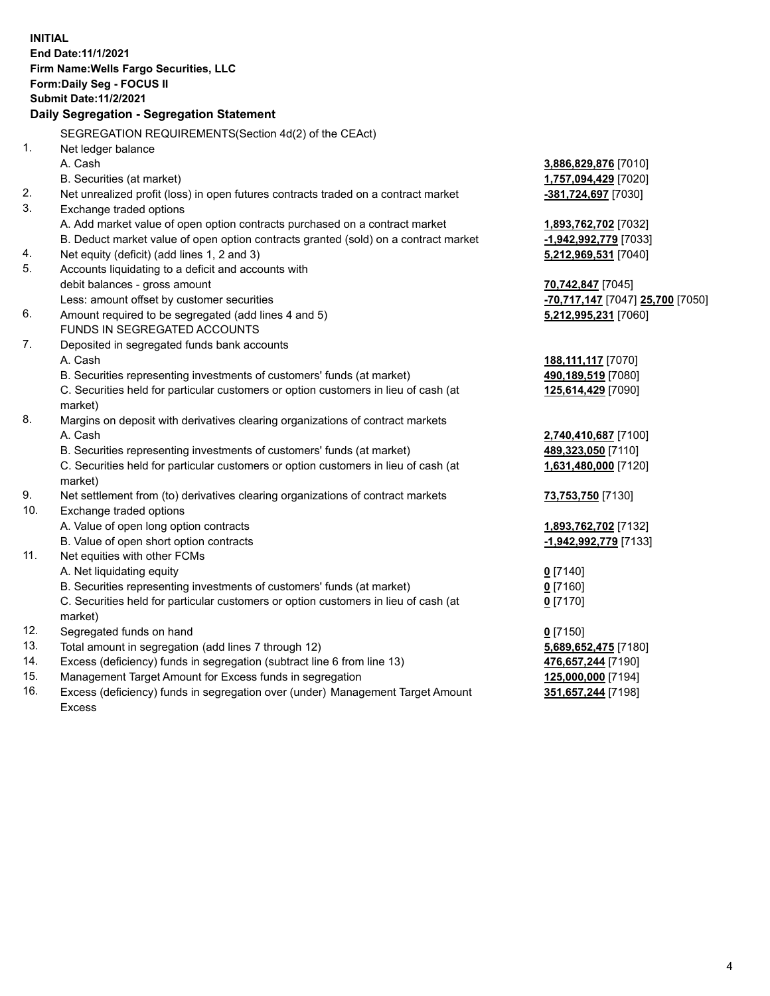**INITIAL End Date:11/1/2021 Firm Name:Wells Fargo Securities, LLC Form:Daily Seg - FOCUS II Submit Date:11/2/2021 Daily Segregation - Segregation Statement** SEGREGATION REQUIREMENTS(Section 4d(2) of the CEAct) 1. Net ledger balance A. Cash **3,886,829,876** [7010] B. Securities (at market) **1,757,094,429** [7020] 2. Net unrealized profit (loss) in open futures contracts traded on a contract market **-381,724,697** [7030] 3. Exchange traded options A. Add market value of open option contracts purchased on a contract market **1,893,762,702** [7032] B. Deduct market value of open option contracts granted (sold) on a contract market **-1,942,992,779** [7033] 4. Net equity (deficit) (add lines 1, 2 and 3) **5,212,969,531** [7040] 5. Accounts liquidating to a deficit and accounts with debit balances - gross amount **70,742,847** [7045] Less: amount offset by customer securities **-70,717,147** [7047] **25,700** [7050] 6. Amount required to be segregated (add lines 4 and 5) **5,212,995,231** [7060] FUNDS IN SEGREGATED ACCOUNTS 7. Deposited in segregated funds bank accounts A. Cash **188,111,117** [7070] B. Securities representing investments of customers' funds (at market) **490,189,519** [7080] C. Securities held for particular customers or option customers in lieu of cash (at market) **125,614,429** [7090] 8. Margins on deposit with derivatives clearing organizations of contract markets A. Cash **2,740,410,687** [7100] B. Securities representing investments of customers' funds (at market) **489,323,050** [7110] C. Securities held for particular customers or option customers in lieu of cash (at market) **1,631,480,000** [7120] 9. Net settlement from (to) derivatives clearing organizations of contract markets **73,753,750** [7130] 10. Exchange traded options A. Value of open long option contracts **1,893,762,702** [7132] B. Value of open short option contracts **-1,942,992,779** [7133] 11. Net equities with other FCMs A. Net liquidating equity **0** [7140] B. Securities representing investments of customers' funds (at market) **0** [7160] C. Securities held for particular customers or option customers in lieu of cash (at market) **0** [7170] 12. Segregated funds on hand **0** [7150] 13. Total amount in segregation (add lines 7 through 12) **5,689,652,475** [7180] 14. Excess (deficiency) funds in segregation (subtract line 6 from line 13) **476,657,244** [7190] 15. Management Target Amount for Excess funds in segregation **125,000,000** [7194] **351,657,244** [7198]

16. Excess (deficiency) funds in segregation over (under) Management Target Amount Excess